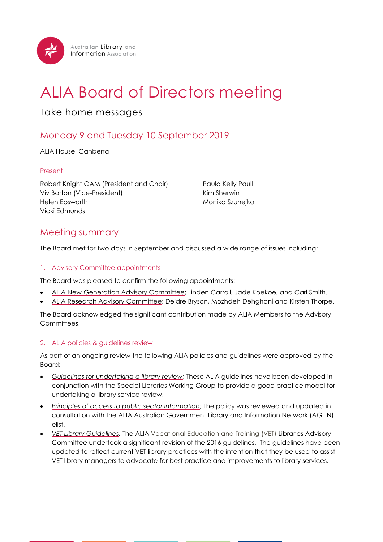

# ALIA Board of Directors meeting

## Take home messages

# Monday 9 and Tuesday 10 September 2019

ALIA House, Canberra

#### Present

Robert Knight OAM (President and Chair) Viv Barton (Vice-President) Helen Ebsworth Vicki Edmunds

Paula Kelly Paull Kim Sherwin Monika Szunejko

### Meeting summary

The Board met for two days in September and discussed a wide range of issues including:

#### 1. Advisory Committee appointments

The Board was pleased to confirm the following appointments:

- [ALIA New Generation Advisory Committee;](https://www.alia.org.au/NGAC) Linden Carroll, Jade Koekoe, and Carl Smith.
- [ALIA Research Advisory Committee;](https://www.alia.org.au/alia-research-advisory-committee) Deidre Bryson, Mozhdeh Dehghani and Kirsten Thorpe.

The Board acknowledged the significant contribution made by ALIA Members to the Advisory Committees.

#### 2. ALIA policies & guidelines review

As part of an ongoing review the following ALIA policies and guidelines were approved by the Board:

- *Guidelines [for undertaking a library review;](https://read.alia.org.au/guidelines-undertaking-library-review)* These ALIA guidelines have been developed in conjunction with the Special Libraries Working Group to provide a good practice model for undertaking a library service review.
- *[Principles of access to public sector information](https://read.alia.org.au/principles-access-public-sector-information)*; The policy was reviewed and updated in consultation with the ALIA Australian Government Library and Information Network (AGLIN) elist.
- *[VET Library Guidelines;](https://read.alia.org.au/alia-guidelines-australian-vet-libraries)* The ALIA Vocational Education and Training (VET) Libraries Advisory Committee undertook a significant revision of the 2016 guidelines. The guidelines have been updated to reflect current VET library practices with the intention that they be used to assist VET library managers to advocate for best practice and improvements to library services.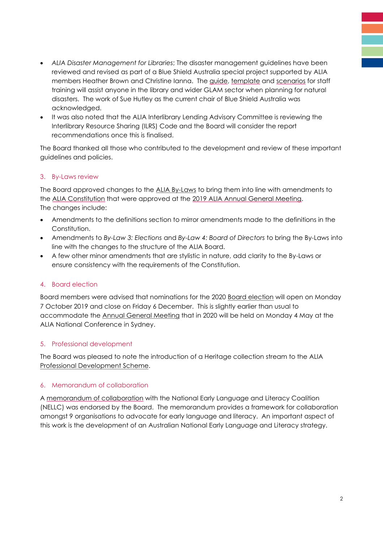- *ALIA Disaster Management for Libraries*; The disaster management guidelines have been reviewed and revised as part of a Blue Shield Australia special project supported by ALIA members Heather Brown and Christine Ianna. The [guide,](https://read.alia.org.au/alia-disaster-management-libraries-part-one-guide) [template](https://read.alia.org.au/alia-disaster-management-libraries-part-two-disaster-plan-template) and [scenarios](https://read.alia.org.au/alia-disaster-scenarios-staff-training-sessions) for staff training will assist anyone in the library and wider GLAM sector when planning for natural disasters. The work of Sue Hutley as the current chair of Blue Shield Australia was acknowledged.
- It was also noted that the ALIA Interlibrary Lending Advisory Committee is reviewing the Interlibrary Resource Sharing (ILRS) Code and the Board will consider the report recommendations once this is finalised.

The Board thanked all those who contributed to the development and review of these important guidelines and policies.

#### 3. By-Laws review

The Board approved changes to the [ALIA By-Laws](https://www.alia.org.au/sites/default/files/documents/Endorsed%20By-Laws%20September%202019.pdf) to bring them into line with amendments to the ALIA [Constitution](https://www.alia.org.au/sites/default/files/documents/2019-05-21%20ALIA%20Constitution%20as%20endorsed%20at%20AGM%202019.pdf) that were approved at the [2019 ALIA Annual General Meeting.](https://www.alia.org.au/AGM) The changes include:

- Amendments to the definitions section to mirror amendments made to the definitions in the Constitution.
- Amendments to *By-Law 3: Elections* and *By-Law 4: Board of Directors* to bring the By-Laws into line with the changes to the structure of the ALIA Board.
- A few other minor amendments that are stylistic in nature, add clarity to the By-Laws or ensure consistency with the requirements of the Constitution.

#### 4. Board election

Board members were advised that nominations for the 2020 [Board election](https://www.alia.org.au/elections) will open on Monday 7 October 2019 and close on Friday 6 December. This is slightly earlier than usual to accommodate the [Annual General Meeting](https://www.alia.org.au/AGM) that in 2020 will be held on Monday 4 May at the ALIA National Conference in Sydney.

#### 5. Professional development

The Board was pleased to note the introduction of a Heritage collection stream to the ALIA [Professional Development Scheme.](https://membership.alia.org.au/pdinfo/professional-development)

#### 6. Memorandum of collaboration

A [memorandum of collaboration](https://membership.alia.org.au/resources/member-resources/mou) with the National Early Language and Literacy Coalition (NELLC) was endorsed by the Board. The memorandum provides a framework for collaboration amongst 9 organisations to advocate for early language and literacy. An important aspect of this work is the development of an Australian National Early Language and Literacy strategy.